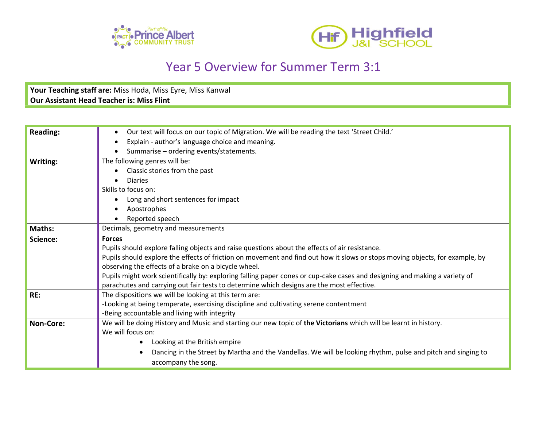



## Year 5 Overview for Summer Term 3:1

**Your Teaching staff are:** Miss Hoda, Miss Eyre, Miss Kanwal **Our Assistant Head Teacher is: Miss Flint**

| <b>Reading:</b> | Our text will focus on our topic of Migration. We will be reading the text 'Street Child.'                                   |
|-----------------|------------------------------------------------------------------------------------------------------------------------------|
|                 | Explain - author's language choice and meaning.                                                                              |
|                 | Summarise - ordering events/statements.                                                                                      |
| Writing:        | The following genres will be:                                                                                                |
|                 | Classic stories from the past                                                                                                |
|                 | <b>Diaries</b>                                                                                                               |
|                 | Skills to focus on:                                                                                                          |
|                 | Long and short sentences for impact                                                                                          |
|                 | Apostrophes                                                                                                                  |
|                 | Reported speech                                                                                                              |
| Maths:          | Decimals, geometry and measurements                                                                                          |
| Science:        | <b>Forces</b>                                                                                                                |
|                 | Pupils should explore falling objects and raise questions about the effects of air resistance.                               |
|                 | Pupils should explore the effects of friction on movement and find out how it slows or stops moving objects, for example, by |
|                 | observing the effects of a brake on a bicycle wheel.                                                                         |
|                 | Pupils might work scientifically by: exploring falling paper cones or cup-cake cases and designing and making a variety of   |
|                 | parachutes and carrying out fair tests to determine which designs are the most effective.                                    |
| RE:             | The dispositions we will be looking at this term are:                                                                        |
|                 | -Looking at being temperate, exercising discipline and cultivating serene contentment                                        |
|                 | -Being accountable and living with integrity                                                                                 |
| Non-Core:       | We will be doing History and Music and starting our new topic of the Victorians which will be learnt in history.             |
|                 | We will focus on:                                                                                                            |
|                 | Looking at the British empire                                                                                                |
|                 | Dancing in the Street by Martha and the Vandellas. We will be looking rhythm, pulse and pitch and singing to                 |
|                 | accompany the song.                                                                                                          |